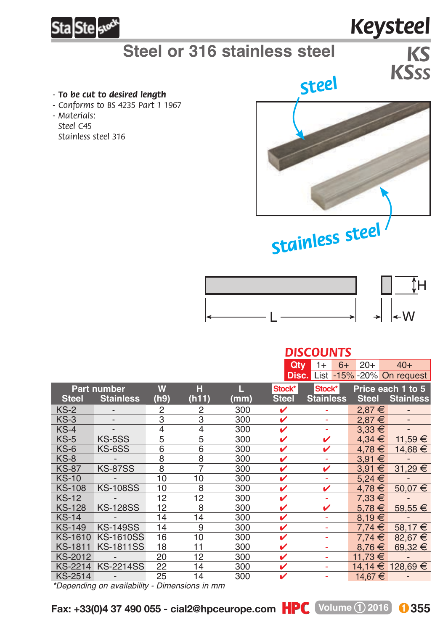

# **Steel or 316 stainless steel**

#### *- To be cut to desired length*

- *Conforms to BS 4235 Part 1 1967*
- *Materials: Steel C45*
	- *Stainless steel 316*



*Keysteel*

*KSSS*

# *Stainless steel*



### *DISCOUNTS*

|                    |                              |                |       |      | Qty          | $6+$<br>$1+$                           | $20+$             | $40+$                    |
|--------------------|------------------------------|----------------|-------|------|--------------|----------------------------------------|-------------------|--------------------------|
|                    |                              |                |       |      |              | <b>Disc.</b> List -15% -20% On request |                   |                          |
| <b>Part number</b> |                              | W              | н     | П.,  | Stock*       | Stock*                                 | Price each 1 to 5 |                          |
| <b>Steel</b>       | <b>Stainless</b>             | (h9)           | (h11) | (mm) | <b>Steel</b> | <b>Stainless</b>                       | <b>Steel</b>      | <b>Stainless</b>         |
| $KS-2$             | $\qquad \qquad \blacksquare$ | 2              | 2     | 300  | v            | ۰                                      | 2,87€             | $\overline{a}$           |
| $KS-3$             | $\qquad \qquad \blacksquare$ | 3              | 3     | 300  | v            | ٠                                      | $2.87 \in$        | $\overline{\phantom{m}}$ |
| $KS-4$             | $\overline{\phantom{0}}$     | $\overline{4}$ | 4     | 300  | v            | ٠                                      | $3.33 \in$        |                          |
| $KS-5$             | KS-5SS                       | 5              | 5     | 300  | ✓            | v                                      | $4.34 \in$        | 11,59 €                  |
| $KS-6$             | KS-6SS                       | 6              | 6     | 300  | v            | v                                      | €<br>4.78         | 14.68 €                  |
| $KS-8$             |                              | 8              | 8     | 300  | v            | ÷                                      | 3,91 €            |                          |
| <b>KS-87</b>       | <b>KS-87SS</b>               | 8              | 7     | 300  | ✓            | v                                      | €<br>3.91         | 31,29 €                  |
| <b>KS-10</b>       |                              | 10             | 10    | 300  | v            | ۰                                      | $5.24 \in$        |                          |
| <b>KS-108</b>      | <b>KS-108SS</b>              | 10             | 8     | 300  | v            | v                                      | 4,78€             | $50,07 \in$              |
| <b>KS-12</b>       |                              | 12             | 12    | 300  | ✓            | ٠                                      | $7.33 \in$        |                          |
| <b>KS-128</b>      | <b>KS-128SS</b>              | 12             | 8     | 300  | ✓            | v                                      | €<br>5.78         | $59,55 \in$              |
| <b>KS-14</b>       |                              | 14             | 14    | 300  | v            | ä,                                     | 8,19€             |                          |
| <b>KS-149</b>      | <b>KS-149SS</b>              | 14             | 9     | 300  | ✓            | ٠                                      | €<br>7.74         | 58.17 €                  |
| <b>KS-1610</b>     | <b>KS-1610SS</b>             | 16             | 10    | 300  | ✓            | ÷                                      | 7.74<br>€         | 82,67 €                  |
| <b>KS-1811</b>     | <b>KS-1811SS</b>             | 18             | 11    | 300  | ✓            | ÷                                      | 8.76<br>€         | 69,32 €                  |
| <b>KS-2012</b>     |                              | 20             | 12    | 300  | v            | ٠                                      | 11.73 €           |                          |
| <b>KS-2214</b>     | <b>KS-2214SS</b>             | 22             | 14    | 300  | v            | ٠                                      | €<br>14.14        | 128,69 €                 |
| <b>KS-2514</b>     |                              | 25             | 14    | 300  | ✓            |                                        | 14,67€            |                          |

*\*Depending on availability - Dimensions in mm*